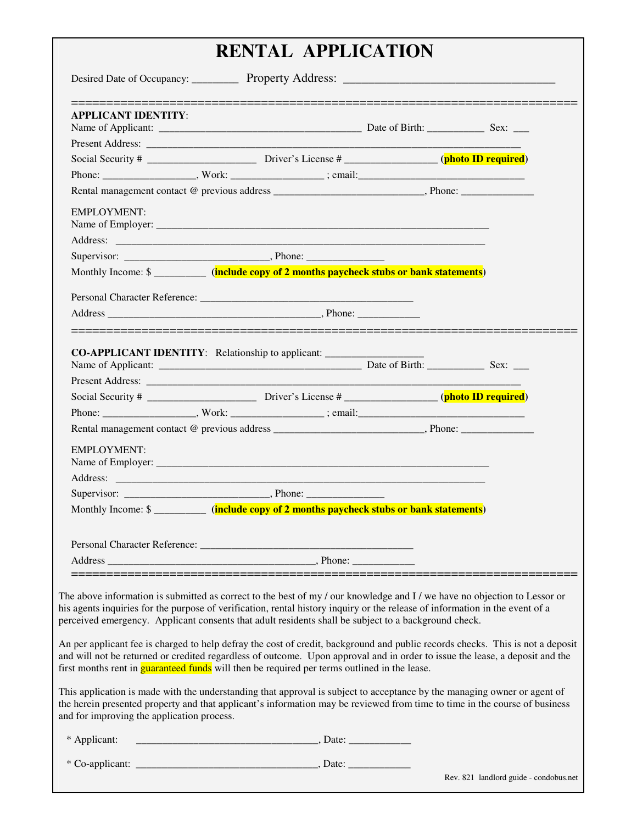## **RENTAL APPLICATION**

| <b>APPLICANT IDENTITY:</b>                 |                                                                                                      |                                                                                                                                                                                                                                                                |
|--------------------------------------------|------------------------------------------------------------------------------------------------------|----------------------------------------------------------------------------------------------------------------------------------------------------------------------------------------------------------------------------------------------------------------|
|                                            |                                                                                                      |                                                                                                                                                                                                                                                                |
|                                            |                                                                                                      |                                                                                                                                                                                                                                                                |
|                                            |                                                                                                      |                                                                                                                                                                                                                                                                |
|                                            |                                                                                                      |                                                                                                                                                                                                                                                                |
|                                            |                                                                                                      |                                                                                                                                                                                                                                                                |
|                                            |                                                                                                      |                                                                                                                                                                                                                                                                |
| <b>EMPLOYMENT:</b>                         |                                                                                                      |                                                                                                                                                                                                                                                                |
|                                            |                                                                                                      |                                                                                                                                                                                                                                                                |
|                                            |                                                                                                      |                                                                                                                                                                                                                                                                |
|                                            | Monthly Income: \$ ___________ (include copy of 2 months paycheck stubs or bank statements)          |                                                                                                                                                                                                                                                                |
|                                            |                                                                                                      |                                                                                                                                                                                                                                                                |
|                                            |                                                                                                      |                                                                                                                                                                                                                                                                |
| <b>EMPLOYMENT:</b>                         |                                                                                                      |                                                                                                                                                                                                                                                                |
|                                            | Monthly Income: \$                                                                                   |                                                                                                                                                                                                                                                                |
|                                            | .__________________________________                                                                  |                                                                                                                                                                                                                                                                |
|                                            | perceived emergency. Applicant consents that adult residents shall be subject to a background check. | The above information is submitted as correct to the best of my / our knowledge and I / we have no objection to Lessor or<br>his agents inquiries for the purpose of verification, rental history inquiry or the release of information in the event of a      |
|                                            | first months rent in <b>guaranteed funds</b> will then be required per terms outlined in the lease.  | An per applicant fee is charged to help defray the cost of credit, background and public records checks. This is not a deposit<br>and will not be returned or credited regardless of outcome. Upon approval and in order to issue the lease, a deposit and the |
| and for improving the application process. |                                                                                                      | This application is made with the understanding that approval is subject to acceptance by the managing owner or agent of<br>the herein presented property and that applicant's information may be reviewed from time to time in the course of business         |
| * Applicant:                               |                                                                                                      |                                                                                                                                                                                                                                                                |
|                                            |                                                                                                      |                                                                                                                                                                                                                                                                |
|                                            |                                                                                                      |                                                                                                                                                                                                                                                                |